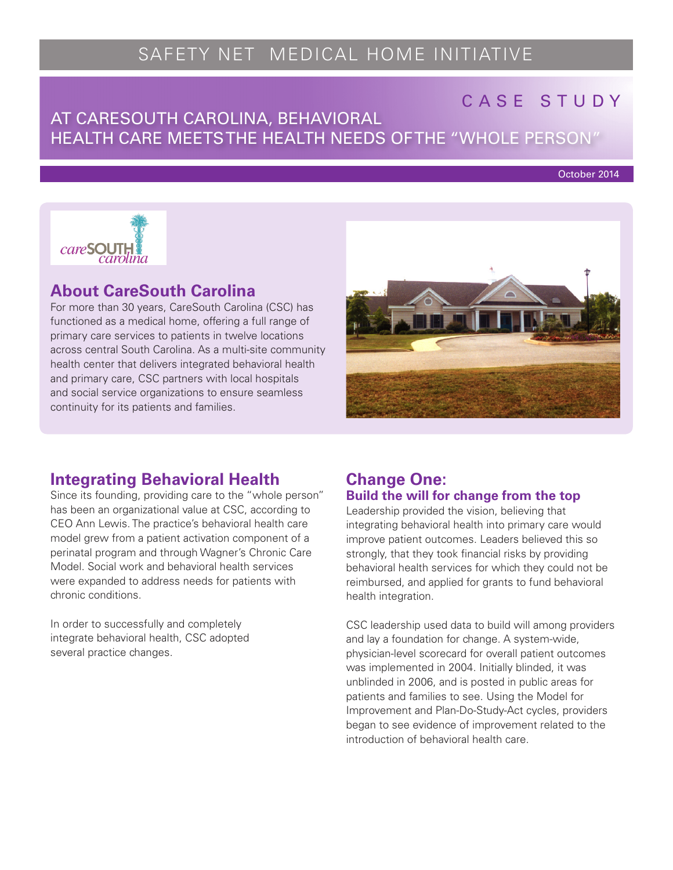# SAFETY NET MEDICAL HOME INITIATIVE

# CASE STUDY

# AT CARESOUTH CAROLINA, BEHAVIORAL DESCRIPTION HEALTH CARE MEETS THE HEALTH NEEDS OF THE "WHOLE PERSON"

October 2014



### **About CareSouth Carolina**

For more than 30 years, CareSouth Carolina (CSC) has functioned as a medical home, offering a full range of primary care services to patients in twelve locations across central South Carolina. As a multi-site community health center that delivers integrated behavioral health and primary care, CSC partners with local hospitals and social service organizations to ensure seamless continuity for its patients and families.



# **Integrating Behavioral Health**

Since its founding, providing care to the "whole person" has been an organizational value at CSC, according to CEO Ann Lewis. The practice's behavioral health care model grew from a patient activation component of a perinatal program and through Wagner's Chronic Care Model. Social work and behavioral health services were expanded to address needs for patients with chronic conditions.

In order to successfully and completely integrate behavioral health, CSC adopted several practice changes.

#### **Change One: Build the will for change from the top**

Leadership provided the vision, believing that integrating behavioral health into primary care would improve patient outcomes. Leaders believed this so strongly, that they took financial risks by providing behavioral health services for which they could not be reimbursed, and applied for grants to fund behavioral health integration.

CSC leadership used data to build will among providers and lay a foundation for change. A system-wide, physician-level scorecard for overall patient outcomes was implemented in 2004. Initially blinded, it was unblinded in 2006, and is posted in public areas for patients and families to see. Using the Model for Improvement and Plan-Do-Study-Act cycles, providers began to see evidence of improvement related to the introduction of behavioral health care.